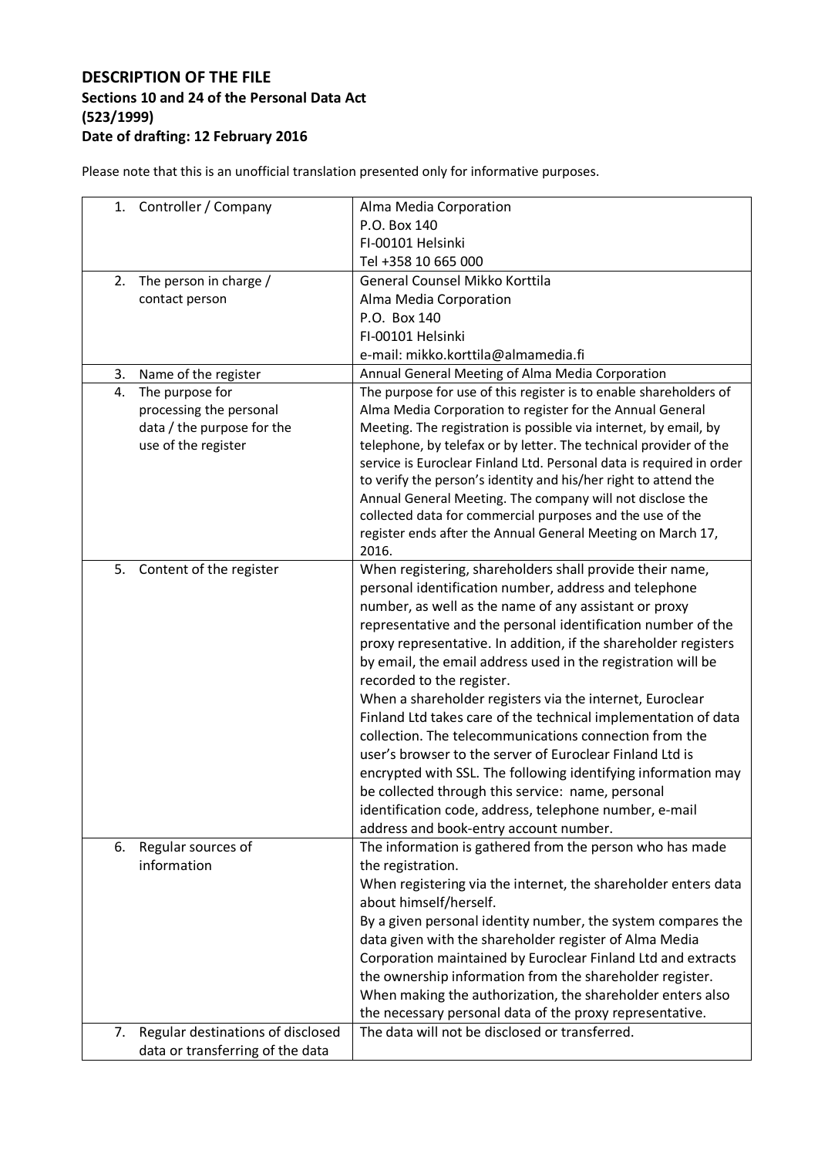## **DESCRIPTION OF THE FILE Sections 10 and 24 of the Personal Data Act (523/1999) Date of drafting: 12 February 2016**

Please note that this is an unofficial translation presented only for informative purposes.

| Controller / Company<br>1.              | Alma Media Corporation                                                                                                 |
|-----------------------------------------|------------------------------------------------------------------------------------------------------------------------|
|                                         | P.O. Box 140                                                                                                           |
|                                         | FI-00101 Helsinki                                                                                                      |
|                                         | Tel +358 10 665 000                                                                                                    |
| 2.<br>The person in charge /            | General Counsel Mikko Korttila                                                                                         |
| contact person                          | Alma Media Corporation                                                                                                 |
|                                         | P.O. Box 140                                                                                                           |
|                                         | FI-00101 Helsinki                                                                                                      |
|                                         | e-mail: mikko.korttila@almamedia.fi                                                                                    |
| Name of the register<br>3.              | Annual General Meeting of Alma Media Corporation                                                                       |
| The purpose for<br>4.                   | The purpose for use of this register is to enable shareholders of                                                      |
| processing the personal                 | Alma Media Corporation to register for the Annual General                                                              |
| data / the purpose for the              | Meeting. The registration is possible via internet, by email, by                                                       |
| use of the register                     | telephone, by telefax or by letter. The technical provider of the                                                      |
|                                         | service is Euroclear Finland Ltd. Personal data is required in order                                                   |
|                                         | to verify the person's identity and his/her right to attend the                                                        |
|                                         | Annual General Meeting. The company will not disclose the<br>collected data for commercial purposes and the use of the |
|                                         | register ends after the Annual General Meeting on March 17,                                                            |
|                                         | 2016.                                                                                                                  |
| 5.<br>Content of the register           | When registering, shareholders shall provide their name,                                                               |
|                                         | personal identification number, address and telephone                                                                  |
|                                         | number, as well as the name of any assistant or proxy                                                                  |
|                                         | representative and the personal identification number of the                                                           |
|                                         | proxy representative. In addition, if the shareholder registers                                                        |
|                                         | by email, the email address used in the registration will be                                                           |
|                                         | recorded to the register.                                                                                              |
|                                         | When a shareholder registers via the internet, Euroclear                                                               |
|                                         | Finland Ltd takes care of the technical implementation of data                                                         |
|                                         | collection. The telecommunications connection from the                                                                 |
|                                         | user's browser to the server of Euroclear Finland Ltd is                                                               |
|                                         | encrypted with SSL. The following identifying information may                                                          |
|                                         | be collected through this service: name, personal                                                                      |
|                                         | identification code, address, telephone number, e-mail                                                                 |
|                                         | address and book-entry account number.                                                                                 |
| 6.<br>Regular sources of                | The information is gathered from the person who has made                                                               |
| information                             | the registration.                                                                                                      |
|                                         | When registering via the internet, the shareholder enters data                                                         |
|                                         | about himself/herself.                                                                                                 |
|                                         | By a given personal identity number, the system compares the                                                           |
|                                         | data given with the shareholder register of Alma Media                                                                 |
|                                         | Corporation maintained by Euroclear Finland Ltd and extracts                                                           |
|                                         | the ownership information from the shareholder register.                                                               |
|                                         | When making the authorization, the shareholder enters also                                                             |
|                                         | the necessary personal data of the proxy representative.                                                               |
| Regular destinations of disclosed<br>7. | The data will not be disclosed or transferred.                                                                         |
| data or transferring of the data        |                                                                                                                        |